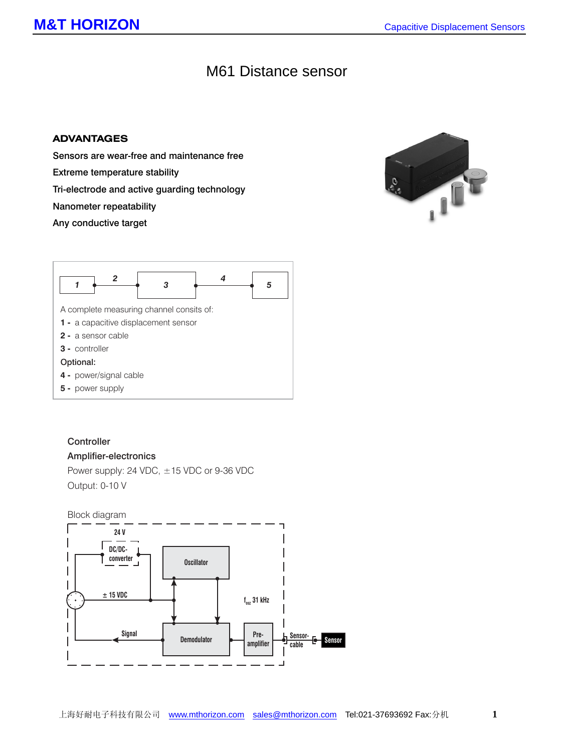# M61 Distance sensor

#### **ADVANTAGES**

Sensors are wear-free and maintenance free

Extreme temperature stability

Tri-electrode and active guarding technology

Nanometer repeatability

Any conductive target





### **Controller**

#### Amplifier-electronics

Power supply: 24 VDC, ±15 VDC or 9-36 VDC Output: 0-10 V

Block diagram

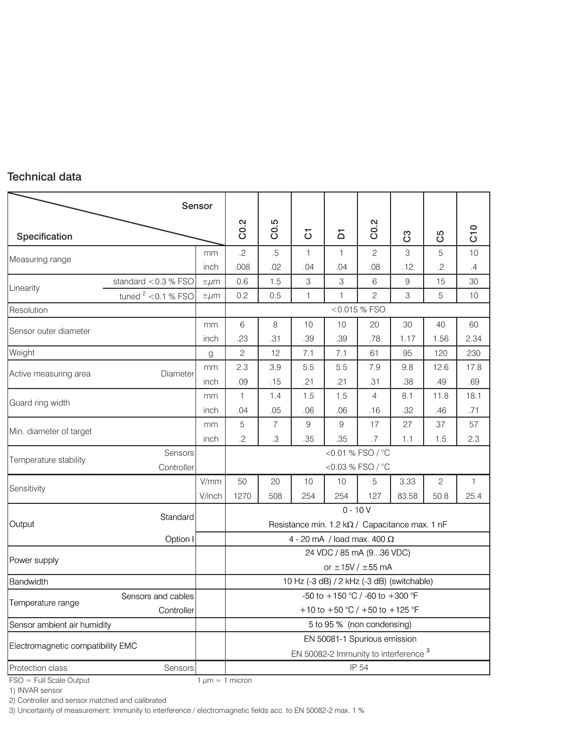## Technical data

|                                   | Sensor                           |                      |                                                                                  |            |                                            |                                                        |                 |               |             |             |
|-----------------------------------|----------------------------------|----------------------|----------------------------------------------------------------------------------|------------|--------------------------------------------|--------------------------------------------------------|-----------------|---------------|-------------|-------------|
| Specification                     |                                  |                      | C0.2                                                                             | C0.5       | δ                                          | $\overline{\mathsf{D}}$                                | C0.2            | යී            | යි          | C10         |
| Measuring range                   |                                  | mm                   | $.2\,$                                                                           | $.5\,$     | 1                                          | 1                                                      | $\overline{c}$  | 3             | 5           | 10          |
|                                   |                                  | inch                 | .008                                                                             | .02        | .04                                        | .04                                                    | .08             | .12           | $.2\,$      | .4          |
| Linearity                         | standard $<$ 0.3 % FSO           | $\pm \mu m$          | 0.6                                                                              | 1.5        | $\,3$                                      | 3                                                      | 6               | 9             | 15          | 30          |
|                                   | tuned $2$ < 0.1 % FSO            | $\pm \mu m$          | 0.2                                                                              | 0.5        | $\mathbf{1}$                               | 1                                                      | $\overline{c}$  | 3             | 5           | 10          |
| Resolution                        |                                  |                      |                                                                                  |            |                                            |                                                        | $<$ 0.015 % FSO |               |             |             |
| Sensor outer diameter             |                                  | mm<br>inch           | 6<br>.23                                                                         | 8<br>.31   | 10<br>.39                                  | 10<br>.39                                              | 20<br>.78       | 30<br>1.17    | 40<br>1.56  | 60<br>2.34  |
| Weight                            |                                  | g                    | $\mathbf{2}$                                                                     | 12         | 7.1                                        | 7.1                                                    | 61              | 95            | 120         | 230         |
| Active measuring area             | Diameter                         | mm<br>inch           | 2.3<br>.09                                                                       | 3.9<br>.15 | 5.5<br>.21                                 | 5.5<br>.21                                             | 7.9<br>.31      | 9.8<br>.38    | 12.6<br>.49 | 17.8<br>.69 |
| Guard ring width                  |                                  | mm                   | $\mathbf{1}$                                                                     | 1.4        | 1.5                                        | 1.5                                                    | 4               | 8.1           | 11.8        | 18.1        |
|                                   |                                  | inch                 | .04                                                                              | .05        | .06                                        | .06                                                    | .16             | .32           | .46         | .71         |
| Min. diameter of target           |                                  | mm                   | 5                                                                                | 7          | $\boldsymbol{9}$                           | 9                                                      | 17<br>.7        | 27            | 37          | 57          |
| Temperature stability             | Sensors                          | inch                 | $.3\,$<br>$.2\,$<br>.35<br>.35<br>1.5<br>2.3<br>1.1<br><0.01 % FSO / °C          |            |                                            |                                                        |                 |               |             |             |
|                                   | Controller                       |                      | <0.03 % FSO / °C                                                                 |            |                                            |                                                        |                 |               |             |             |
| Sensitivity                       |                                  | V/mm<br>V/inch       | 50<br>1270                                                                       | 20<br>508  | 10<br>254                                  | 10<br>254                                              | 5<br>127        | 3.33<br>83.58 | 2<br>50.8   | 1<br>25.4   |
| Output                            | Standard                         |                      | $0 - 10V$<br>Resistance min. $1.2 \, k\Omega$ / Capacitance max. 1 nF            |            |                                            |                                                        |                 |               |             |             |
|                                   | Option I                         |                      | 4 - 20 mA / load max. 400 $\Omega$                                               |            |                                            |                                                        |                 |               |             |             |
| Power supply                      |                                  |                      |                                                                                  |            |                                            | 24 VDC / 85 mA (936 VDC)<br>or $\pm$ 15V / $\pm$ 55 mA |                 |               |             |             |
| Bandwidth                         |                                  |                      |                                                                                  |            | 10 Hz (-3 dB) / 2 kHz (-3 dB) (switchable) |                                                        |                 |               |             |             |
| Temperature range                 | Sensors and cables<br>Controller |                      | -50 to +150 °C / -60 to +300 °F<br>+10 to +50 °C / +50 to +125 °F                |            |                                            |                                                        |                 |               |             |             |
| Sensor ambient air humidity       |                                  |                      | 5 to 95 % (non condensing)                                                       |            |                                            |                                                        |                 |               |             |             |
| Electromagnetic compatibility EMC |                                  |                      | EN 50081-1 Spurious emission<br>EN 50082-2 Immunity to interference <sup>3</sup> |            |                                            |                                                        |                 |               |             |             |
| Protection class<br>Sensors       |                                  |                      | IP 54                                                                            |            |                                            |                                                        |                 |               |             |             |
| $FSO = Full Scale Output$         |                                  | 1 $\mu$ m = 1 micron |                                                                                  |            |                                            |                                                        |                 |               |             |             |

1) INVAR sensor

2) Controller and sensor matched and calibrated

3) Uncertainty of measurement: Immunity to interference / electromagnetic fields acc. to EN 50082-2 max. 1 %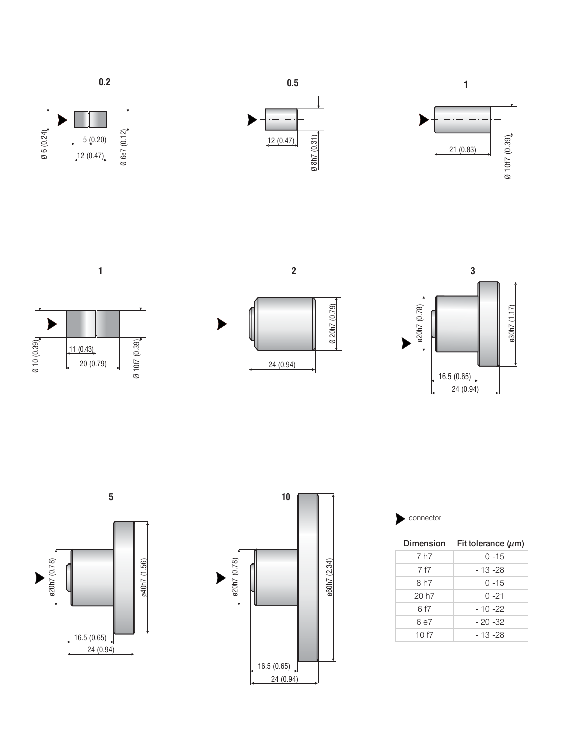









Ø 20h7 (0.79)

Ø 20h7 (0.79)

24 (0.94)









|       | Dimension Fit tolerance $(\mu m)$ |  |  |  |  |  |
|-------|-----------------------------------|--|--|--|--|--|
| 7 h7  | $0 - 15$                          |  |  |  |  |  |
| 7 f7  | - 13 - 28                         |  |  |  |  |  |
| 8 h7  | $0 - 15$                          |  |  |  |  |  |
| 20 h7 | $0 - 21$                          |  |  |  |  |  |
| 6 f7  | $-10 - 22$                        |  |  |  |  |  |
| 6 e7  | $-20 - 32$                        |  |  |  |  |  |
| 10 f7 | - 13 -28                          |  |  |  |  |  |